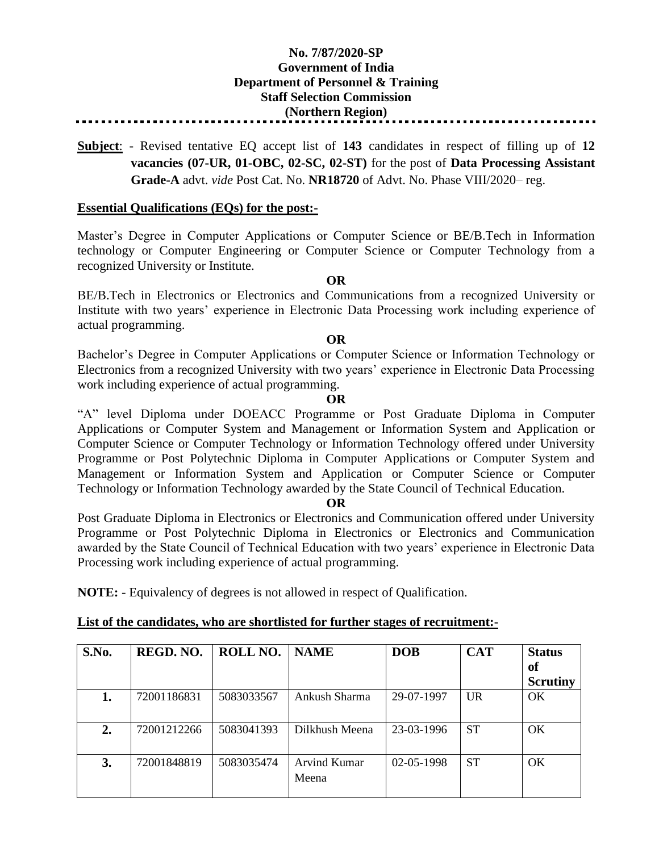# **No. 7/87/2020-SP Government of India Department of Personnel & Training Staff Selection Commission (Northern Region)**

**Subject**: - Revised tentative EQ accept list of **143** candidates in respect of filling up of **12 vacancies (07-UR, 01-OBC, 02-SC, 02-ST)** for the post of **Data Processing Assistant Grade-A** advt. *vide* Post Cat. No. **NR18720** of Advt. No. Phase VIII/2020– reg.

## **Essential Qualifications (EQs) for the post:-**

Master's Degree in Computer Applications or Computer Science or BE/B.Tech in Information technology or Computer Engineering or Computer Science or Computer Technology from a recognized University or Institute.

## **OR**

BE/B.Tech in Electronics or Electronics and Communications from a recognized University or Institute with two years' experience in Electronic Data Processing work including experience of actual programming.

## **OR**

Bachelor's Degree in Computer Applications or Computer Science or Information Technology or Electronics from a recognized University with two years' experience in Electronic Data Processing work including experience of actual programming.

## **OR**

"A" level Diploma under DOEACC Programme or Post Graduate Diploma in Computer Applications or Computer System and Management or Information System and Application or Computer Science or Computer Technology or Information Technology offered under University Programme or Post Polytechnic Diploma in Computer Applications or Computer System and Management or Information System and Application or Computer Science or Computer Technology or Information Technology awarded by the State Council of Technical Education.

## **OR**

Post Graduate Diploma in Electronics or Electronics and Communication offered under University Programme or Post Polytechnic Diploma in Electronics or Electronics and Communication awarded by the State Council of Technical Education with two years' experience in Electronic Data Processing work including experience of actual programming.

**NOTE:** - Equivalency of degrees is not allowed in respect of Qualification.

| List of the candidates, who are shortlisted for further stages of recruitment:- |
|---------------------------------------------------------------------------------|
|---------------------------------------------------------------------------------|

| S.No. | REGD. NO.   | <b>ROLL NO.</b> | <b>NAME</b>    | <b>DOB</b> | <b>CAT</b> | <b>Status</b>   |
|-------|-------------|-----------------|----------------|------------|------------|-----------------|
|       |             |                 |                |            |            | <b>of</b>       |
|       |             |                 |                |            |            | <b>Scrutiny</b> |
| 1.    | 72001186831 | 5083033567      | Ankush Sharma  | 29-07-1997 | <b>UR</b>  | OK              |
|       |             |                 |                |            |            |                 |
| 2.    | 72001212266 | 5083041393      | Dilkhush Meena | 23-03-1996 | <b>ST</b>  | OK              |
|       |             |                 |                |            |            |                 |
| 3.    | 72001848819 | 5083035474      | Arvind Kumar   | 02-05-1998 | <b>ST</b>  | OK              |
|       |             |                 | Meena          |            |            |                 |
|       |             |                 |                |            |            |                 |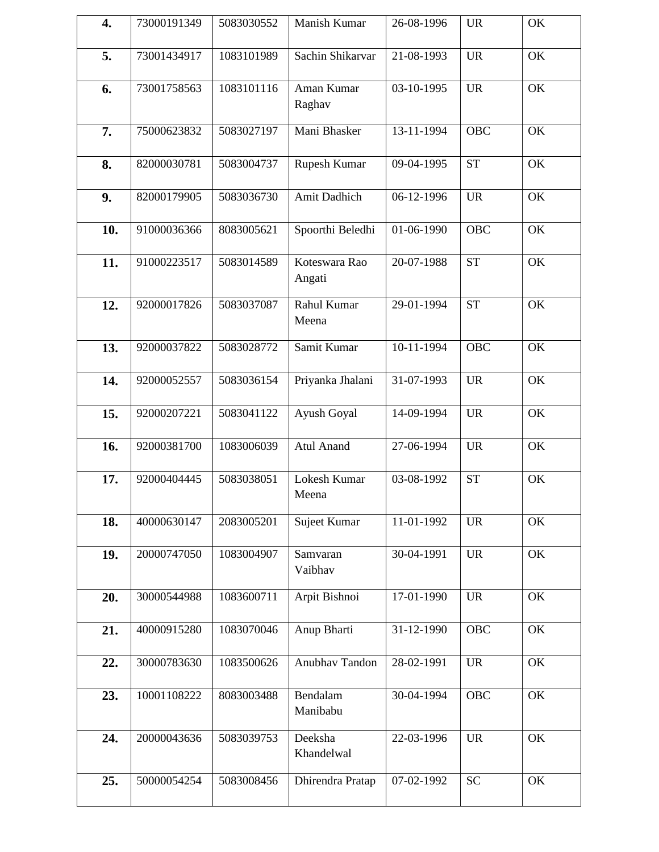| 4.  | 73000191349 | 5083030552 | Manish Kumar            | 26-08-1996 | <b>UR</b>  | OK |
|-----|-------------|------------|-------------------------|------------|------------|----|
| 5.  | 73001434917 | 1083101989 | Sachin Shikarvar        | 21-08-1993 | <b>UR</b>  | OK |
| 6.  | 73001758563 | 1083101116 | Aman Kumar<br>Raghav    | 03-10-1995 | <b>UR</b>  | OK |
| 7.  | 75000623832 | 5083027197 | Mani Bhasker            | 13-11-1994 | <b>OBC</b> | OK |
| 8.  | 82000030781 | 5083004737 | Rupesh Kumar            | 09-04-1995 | <b>ST</b>  | OK |
| 9.  | 82000179905 | 5083036730 | Amit Dadhich            | 06-12-1996 | <b>UR</b>  | OK |
| 10. | 91000036366 | 8083005621 | Spoorthi Beledhi        | 01-06-1990 | <b>OBC</b> | OK |
| 11. | 91000223517 | 5083014589 | Koteswara Rao<br>Angati | 20-07-1988 | <b>ST</b>  | OK |
| 12. | 92000017826 | 5083037087 | Rahul Kumar<br>Meena    | 29-01-1994 | <b>ST</b>  | OK |
| 13. | 92000037822 | 5083028772 | Samit Kumar             | 10-11-1994 | <b>OBC</b> | OK |
| 14. | 92000052557 | 5083036154 | Priyanka Jhalani        | 31-07-1993 | <b>UR</b>  | OK |
| 15. | 92000207221 | 5083041122 | Ayush Goyal             | 14-09-1994 | <b>UR</b>  | OK |
| 16. | 92000381700 | 1083006039 | <b>Atul Anand</b>       | 27-06-1994 | <b>UR</b>  | OK |
| 17. | 92000404445 | 5083038051 | Lokesh Kumar<br>Meena   | 03-08-1992 | <b>ST</b>  | OK |
| 18. | 40000630147 | 2083005201 | Sujeet Kumar            | 11-01-1992 | <b>UR</b>  | OK |
| 19. | 20000747050 | 1083004907 | Samvaran<br>Vaibhav     | 30-04-1991 | <b>UR</b>  | OK |
| 20. | 30000544988 | 1083600711 | Arpit Bishnoi           | 17-01-1990 | <b>UR</b>  | OK |
| 21. | 40000915280 | 1083070046 | Anup Bharti             | 31-12-1990 | <b>OBC</b> | OK |
| 22. | 30000783630 | 1083500626 | Anubhav Tandon          | 28-02-1991 | <b>UR</b>  | OK |
| 23. | 10001108222 | 8083003488 | Bendalam<br>Manibabu    | 30-04-1994 | OBC        | OK |
| 24. | 20000043636 | 5083039753 | Deeksha<br>Khandelwal   | 22-03-1996 | <b>UR</b>  | OK |
| 25. | 50000054254 | 5083008456 | Dhirendra Pratap        | 07-02-1992 | <b>SC</b>  | OK |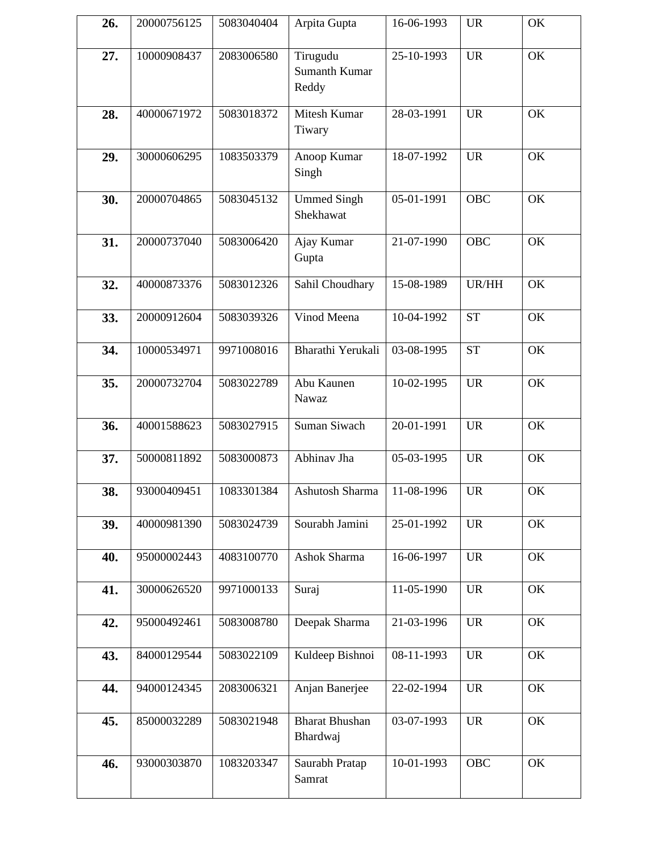| 26. | 20000756125 | 5083040404 | Arpita Gupta                              | 16-06-1993 | <b>UR</b>  | OK |
|-----|-------------|------------|-------------------------------------------|------------|------------|----|
| 27. | 10000908437 | 2083006580 | Tirugudu<br><b>Sumanth Kumar</b><br>Reddy | 25-10-1993 | <b>UR</b>  | OK |
| 28. | 40000671972 | 5083018372 | Mitesh Kumar<br>Tiwary                    | 28-03-1991 | <b>UR</b>  | OK |
| 29. | 30000606295 | 1083503379 | Anoop Kumar<br>Singh                      | 18-07-1992 | <b>UR</b>  | OK |
| 30. | 20000704865 | 5083045132 | <b>Ummed Singh</b><br>Shekhawat           | 05-01-1991 | <b>OBC</b> | OK |
| 31. | 20000737040 | 5083006420 | Ajay Kumar<br>Gupta                       | 21-07-1990 | <b>OBC</b> | OK |
| 32. | 40000873376 | 5083012326 | Sahil Choudhary                           | 15-08-1989 | UR/HH      | OK |
| 33. | 20000912604 | 5083039326 | Vinod Meena                               | 10-04-1992 | <b>ST</b>  | OK |
| 34. | 10000534971 | 9971008016 | Bharathi Yerukali                         | 03-08-1995 | <b>ST</b>  | OK |
| 35. | 20000732704 | 5083022789 | Abu Kaunen<br>Nawaz                       | 10-02-1995 | <b>UR</b>  | OK |
| 36. | 40001588623 | 5083027915 | Suman Siwach                              | 20-01-1991 | <b>UR</b>  | OK |
| 37. | 50000811892 | 5083000873 | Abhinav Jha                               | 05-03-1995 | <b>UR</b>  | OK |
| 38. | 93000409451 | 1083301384 | Ashutosh Sharma                           | 11-08-1996 | <b>UR</b>  | OK |
| 39. | 40000981390 | 5083024739 | Sourabh Jamini                            | 25-01-1992 | <b>UR</b>  | OK |
| 40. | 95000002443 | 4083100770 | Ashok Sharma                              | 16-06-1997 | <b>UR</b>  | OK |
| 41. | 30000626520 | 9971000133 | Suraj                                     | 11-05-1990 | <b>UR</b>  | OK |
| 42. | 95000492461 | 5083008780 | Deepak Sharma                             | 21-03-1996 | <b>UR</b>  | OK |
| 43. | 84000129544 | 5083022109 | Kuldeep Bishnoi                           | 08-11-1993 | <b>UR</b>  | OK |
| 44. | 94000124345 | 2083006321 | Anjan Banerjee                            | 22-02-1994 | <b>UR</b>  | OK |
| 45. | 85000032289 | 5083021948 | <b>Bharat Bhushan</b><br>Bhardwaj         | 03-07-1993 | <b>UR</b>  | OK |
| 46. | 93000303870 | 1083203347 | Saurabh Pratap<br>Samrat                  | 10-01-1993 | OBC        | OK |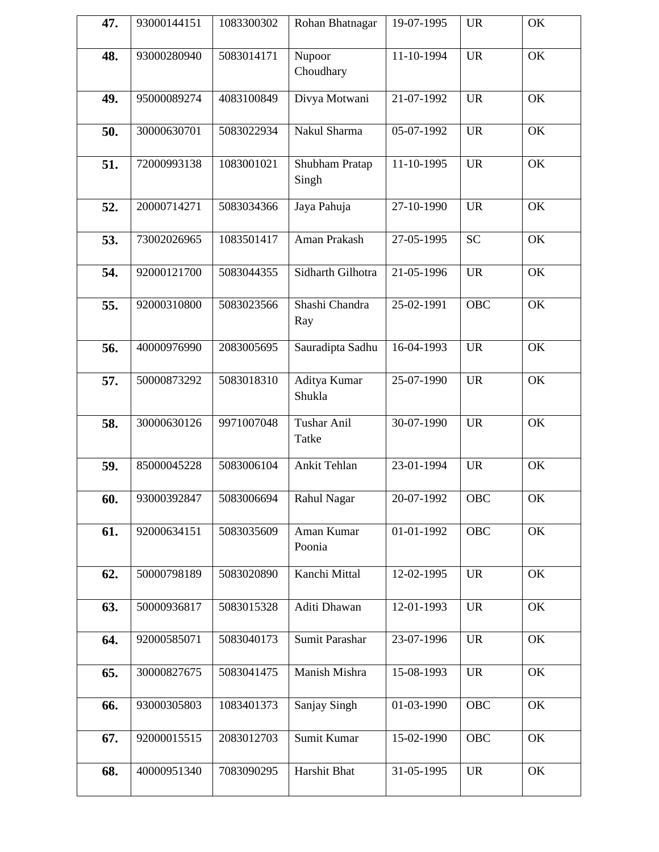| 47. | 93000144151 | 1083300302 | Rohan Bhatnagar             | 19-07-1995 | <b>UR</b>  | OK |
|-----|-------------|------------|-----------------------------|------------|------------|----|
| 48. | 93000280940 | 5083014171 | Nupoor<br>Choudhary         | 11-10-1994 | <b>UR</b>  | OK |
| 49. | 95000089274 | 4083100849 | Divya Motwani               | 21-07-1992 | <b>UR</b>  | OK |
| 50. | 30000630701 | 5083022934 | Nakul Sharma                | 05-07-1992 | <b>UR</b>  | OK |
| 51. | 72000993138 | 1083001021 | Shubham Pratap<br>Singh     | 11-10-1995 | <b>UR</b>  | OK |
| 52. | 20000714271 | 5083034366 | Jaya Pahuja                 | 27-10-1990 | <b>UR</b>  | OK |
| 53. | 73002026965 | 1083501417 | Aman Prakash                | 27-05-1995 | <b>SC</b>  | OK |
| 54. | 92000121700 | 5083044355 | Sidharth Gilhotra           | 21-05-1996 | <b>UR</b>  | OK |
| 55. | 92000310800 | 5083023566 | Shashi Chandra<br>Ray       | 25-02-1991 | <b>OBC</b> | OK |
| 56. | 40000976990 | 2083005695 | Sauradipta Sadhu            | 16-04-1993 | <b>UR</b>  | OK |
| 57. | 50000873292 | 5083018310 | Aditya Kumar<br>Shukla      | 25-07-1990 | <b>UR</b>  | OK |
| 58. | 30000630126 | 9971007048 | <b>Tushar Anil</b><br>Tatke | 30-07-1990 | <b>UR</b>  | OK |
| 59. | 85000045228 | 5083006104 | Ankit Tehlan                | 23-01-1994 | <b>UR</b>  | OK |
| 60. | 93000392847 | 5083006694 | Rahul Nagar                 | 20-07-1992 | OBC        | OK |
| 61. | 92000634151 | 5083035609 | Aman Kumar<br>Poonia        | 01-01-1992 | <b>OBC</b> | OK |
| 62. | 50000798189 | 5083020890 | Kanchi Mittal               | 12-02-1995 | <b>UR</b>  | OK |
| 63. | 50000936817 | 5083015328 | Aditi Dhawan                | 12-01-1993 | <b>UR</b>  | OK |
| 64. | 92000585071 | 5083040173 | Sumit Parashar              | 23-07-1996 | <b>UR</b>  | OK |
| 65. | 30000827675 | 5083041475 | Manish Mishra               | 15-08-1993 | <b>UR</b>  | OK |
| 66. | 93000305803 | 1083401373 | Sanjay Singh                | 01-03-1990 | <b>OBC</b> | OK |
| 67. | 92000015515 | 2083012703 | Sumit Kumar                 | 15-02-1990 | <b>OBC</b> | OK |
| 68. | 40000951340 | 7083090295 | Harshit Bhat                | 31-05-1995 | <b>UR</b>  | OK |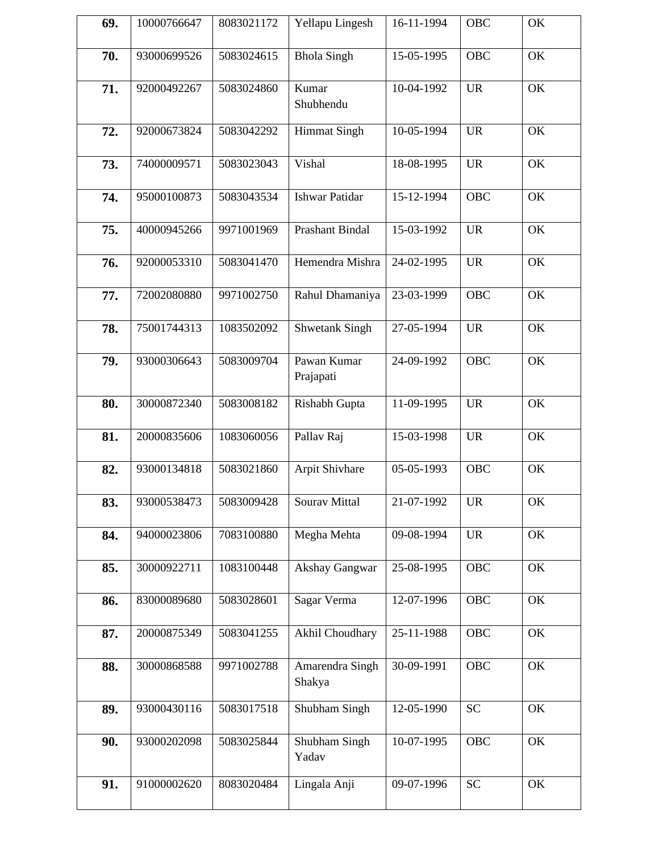| 69. | 10000766647 | 8083021172 | Yellapu Lingesh           | 16-11-1994 | <b>OBC</b> | OK |
|-----|-------------|------------|---------------------------|------------|------------|----|
| 70. | 93000699526 | 5083024615 | <b>Bhola Singh</b>        | 15-05-1995 | <b>OBC</b> | OK |
| 71. | 92000492267 | 5083024860 | Kumar<br>Shubhendu        | 10-04-1992 | <b>UR</b>  | OK |
| 72. | 92000673824 | 5083042292 | <b>Himmat Singh</b>       | 10-05-1994 | <b>UR</b>  | OK |
| 73. | 74000009571 | 5083023043 | Vishal                    | 18-08-1995 | <b>UR</b>  | OK |
| 74. | 95000100873 | 5083043534 | <b>Ishwar Patidar</b>     | 15-12-1994 | <b>OBC</b> | OK |
| 75. | 40000945266 | 9971001969 | Prashant Bindal           | 15-03-1992 | <b>UR</b>  | OK |
| 76. | 92000053310 | 5083041470 | Hemendra Mishra           | 24-02-1995 | <b>UR</b>  | OK |
| 77. | 72002080880 | 9971002750 | Rahul Dhamaniya           | 23-03-1999 | <b>OBC</b> | OK |
| 78. | 75001744313 | 1083502092 | <b>Shwetank Singh</b>     | 27-05-1994 | <b>UR</b>  | OK |
| 79. | 93000306643 | 5083009704 | Pawan Kumar<br>Prajapati  | 24-09-1992 | <b>OBC</b> | OK |
| 80. | 30000872340 | 5083008182 | Rishabh Gupta             | 11-09-1995 | <b>UR</b>  | OK |
| 81. | 20000835606 | 1083060056 | Pallav Raj                | 15-03-1998 | <b>UR</b>  | OK |
| 82. | 93000134818 | 5083021860 | Arpit Shivhare            | 05-05-1993 | <b>OBC</b> | OK |
| 83. | 93000538473 | 5083009428 | Sourav Mittal             | 21-07-1992 | <b>UR</b>  | OK |
| 84. | 94000023806 | 7083100880 | Megha Mehta               | 09-08-1994 | <b>UR</b>  | OK |
| 85. | 30000922711 | 1083100448 | Akshay Gangwar            | 25-08-1995 | <b>OBC</b> | OK |
| 86. | 83000089680 | 5083028601 | Sagar Verma               | 12-07-1996 | <b>OBC</b> | OK |
| 87. | 20000875349 | 5083041255 | Akhil Choudhary           | 25-11-1988 | <b>OBC</b> | OK |
| 88. | 30000868588 | 9971002788 | Amarendra Singh<br>Shakya | 30-09-1991 | <b>OBC</b> | OK |
| 89. | 93000430116 | 5083017518 | Shubham Singh             | 12-05-1990 | <b>SC</b>  | OK |
| 90. | 93000202098 | 5083025844 | Shubham Singh<br>Yadav    | 10-07-1995 | <b>OBC</b> | OK |
| 91. | 91000002620 | 8083020484 | Lingala Anji              | 09-07-1996 | <b>SC</b>  | OK |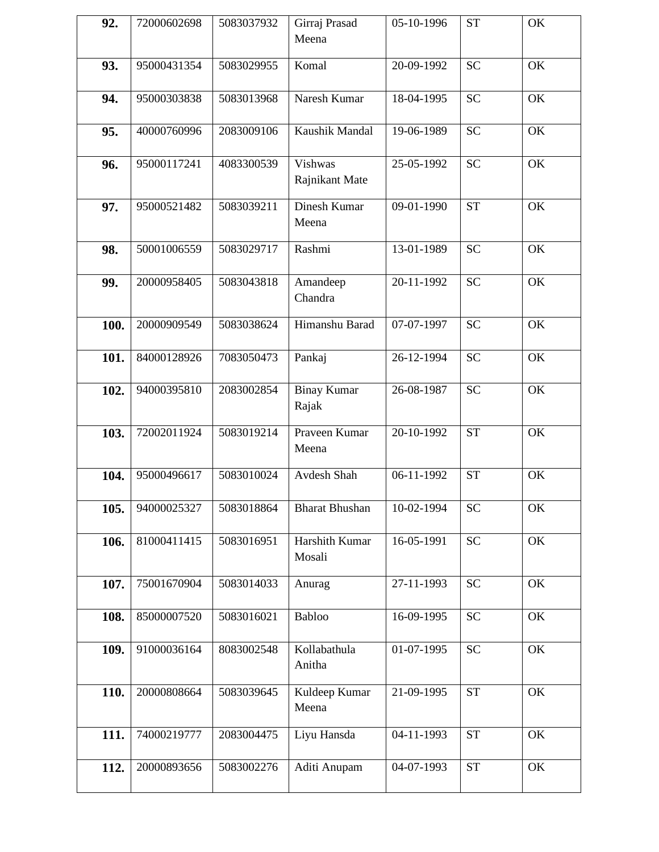| 92.  | 72000602698 | 5083037932 | Girraj Prasad<br>Meena      | 05-10-1996                  | <b>ST</b> | OK            |
|------|-------------|------------|-----------------------------|-----------------------------|-----------|---------------|
| 93.  | 95000431354 | 5083029955 | Komal                       | 20-09-1992                  | <b>SC</b> | OK            |
| 94.  | 95000303838 | 5083013968 | Naresh Kumar                | 18-04-1995                  | <b>SC</b> | OK            |
| 95.  | 40000760996 | 2083009106 | Kaushik Mandal              | 19-06-1989                  | <b>SC</b> | OK            |
| 96.  | 95000117241 | 4083300539 | Vishwas<br>Rajnikant Mate   | 25-05-1992                  | <b>SC</b> | OK            |
| 97.  | 95000521482 | 5083039211 | Dinesh Kumar<br>Meena       | 09-01-1990                  | <b>ST</b> | OK            |
| 98.  | 50001006559 | 5083029717 | Rashmi                      | 13-01-1989                  | <b>SC</b> | OK            |
| 99.  | 20000958405 | 5083043818 | Amandeep<br>Chandra         | 20-11-1992                  | <b>SC</b> | OK            |
| 100. | 20000909549 | 5083038624 | Himanshu Barad              | 07-07-1997                  | <b>SC</b> | OK            |
| 101. | 84000128926 | 7083050473 | Pankaj                      | 26-12-1994                  | <b>SC</b> | OK            |
| 102. | 94000395810 | 2083002854 | <b>Binay Kumar</b><br>Rajak | 26-08-1987                  | <b>SC</b> | OK            |
| 103. | 72002011924 | 5083019214 | Praveen Kumar<br>Meena      | 20-10-1992                  | <b>ST</b> | OK            |
| 104. | 95000496617 | 5083010024 | Avdesh Shah                 | $\overline{06} - 11 - 1992$ | <b>ST</b> | OK            |
| 105. | 94000025327 | 5083018864 | <b>Bharat Bhushan</b>       | 10-02-1994                  | <b>SC</b> | OK            |
| 106. | 81000411415 | 5083016951 | Harshith Kumar<br>Mosali    | 16-05-1991                  | <b>SC</b> | OK            |
| 107. | 75001670904 | 5083014033 | Anurag                      | 27-11-1993                  | <b>SC</b> | OK            |
| 108. | 85000007520 | 5083016021 | Babloo                      | 16-09-1995                  | <b>SC</b> | OK            |
| 109. | 91000036164 | 8083002548 | Kollabathula<br>Anitha      | 01-07-1995                  | <b>SC</b> | OK            |
| 110. | 20000808664 | 5083039645 | Kuldeep Kumar<br>Meena      | 21-09-1995                  | <b>ST</b> | $\mathrm{OK}$ |
| 111. | 74000219777 | 2083004475 | Liyu Hansda                 | 04-11-1993                  | <b>ST</b> | OK            |
| 112. | 20000893656 | 5083002276 | Aditi Anupam                | 04-07-1993                  | <b>ST</b> | OK            |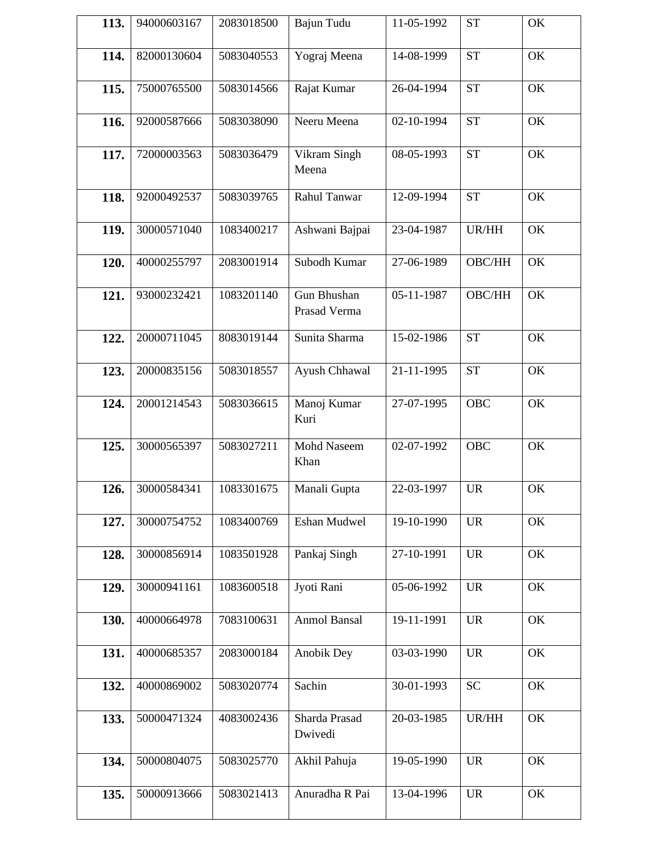| 113. | 94000603167 | 2083018500 | Bajun Tudu                  | 11-05-1992 | <b>ST</b>  | OK |
|------|-------------|------------|-----------------------------|------------|------------|----|
| 114. | 82000130604 | 5083040553 | Yograj Meena                | 14-08-1999 | <b>ST</b>  | OK |
| 115. | 75000765500 | 5083014566 | Rajat Kumar                 | 26-04-1994 | <b>ST</b>  | OK |
| 116. | 92000587666 | 5083038090 | Neeru Meena                 | 02-10-1994 | <b>ST</b>  | OK |
| 117. | 72000003563 | 5083036479 | Vikram Singh<br>Meena       | 08-05-1993 | <b>ST</b>  | OK |
| 118. | 92000492537 | 5083039765 | Rahul Tanwar                | 12-09-1994 | <b>ST</b>  | OK |
| 119. | 30000571040 | 1083400217 | Ashwani Bajpai              | 23-04-1987 | UR/HH      | OK |
| 120. | 40000255797 | 2083001914 | Subodh Kumar                | 27-06-1989 | OBC/HH     | OK |
| 121. | 93000232421 | 1083201140 | Gun Bhushan<br>Prasad Verma | 05-11-1987 | OBC/HH     | OK |
| 122. | 20000711045 | 8083019144 | Sunita Sharma               | 15-02-1986 | <b>ST</b>  | OK |
| 123. | 20000835156 | 5083018557 | Ayush Chhawal               | 21-11-1995 | <b>ST</b>  | OK |
| 124. | 20001214543 | 5083036615 | Manoj Kumar<br>Kuri         | 27-07-1995 | <b>OBC</b> | OK |
| 125. | 30000565397 | 5083027211 | <b>Mohd Naseem</b><br>Khan  | 02-07-1992 | <b>OBC</b> | OK |
| 126. | 30000584341 | 1083301675 | Manali Gupta                | 22-03-1997 | <b>UR</b>  | OK |
| 127. | 30000754752 | 1083400769 | Eshan Mudwel                | 19-10-1990 | <b>UR</b>  | OK |
| 128. | 30000856914 | 1083501928 | Pankaj Singh                | 27-10-1991 | <b>UR</b>  | OK |
| 129. | 30000941161 | 1083600518 | Jyoti Rani                  | 05-06-1992 | <b>UR</b>  | OK |
| 130. | 40000664978 | 7083100631 | <b>Anmol Bansal</b>         | 19-11-1991 | <b>UR</b>  | OK |
| 131. | 40000685357 | 2083000184 | Anobik Dey                  | 03-03-1990 | <b>UR</b>  | OK |
| 132. | 40000869002 | 5083020774 | Sachin                      | 30-01-1993 | <b>SC</b>  | OK |
| 133. | 50000471324 | 4083002436 | Sharda Prasad<br>Dwivedi    | 20-03-1985 | UR/HH      | OK |
| 134. | 50000804075 | 5083025770 | Akhil Pahuja                | 19-05-1990 | <b>UR</b>  | OK |
| 135. | 50000913666 | 5083021413 | Anuradha R Pai              | 13-04-1996 | <b>UR</b>  | OK |